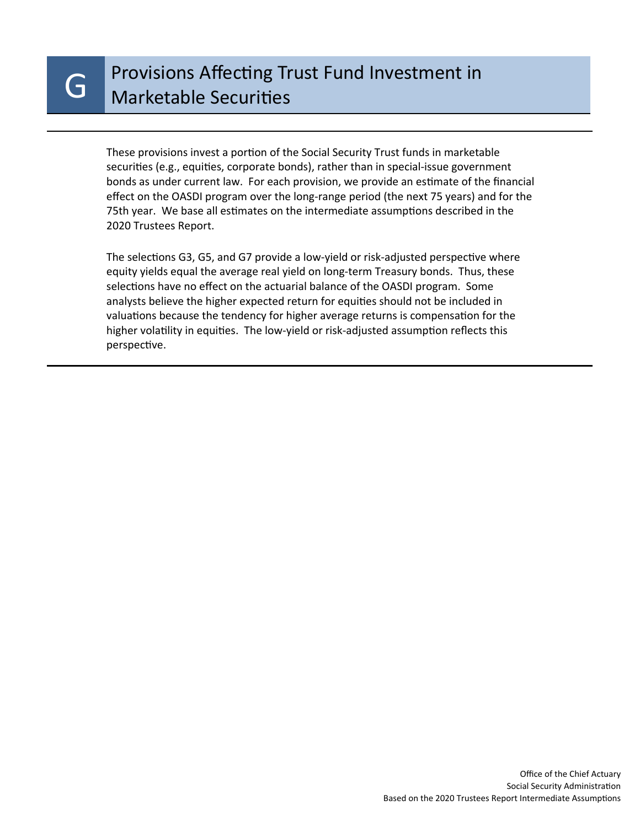These provisions invest a portion of the Social Security Trust funds in marketable securities (e.g., equities, corporate bonds), rather than in special-issue government bonds as under current law. For each provision, we provide an estimate of the financial effect on the OASDI program over the long-range period (the next 75 years) and for the 75th year. We base all estimates on the intermediate assumptions described in the 2020 Trustees Report.

The selections G3, G5, and G7 provide a low-yield or risk-adjusted perspective where equity yields equal the average real yield on long-term Treasury bonds. Thus, these selections have no effect on the actuarial balance of the OASDI program. Some analysts believe the higher expected return for equities should not be included in valuations because the tendency for higher average returns is compensation for the higher volatility in equities. The low-yield or risk-adjusted assumption reflects this perspective.